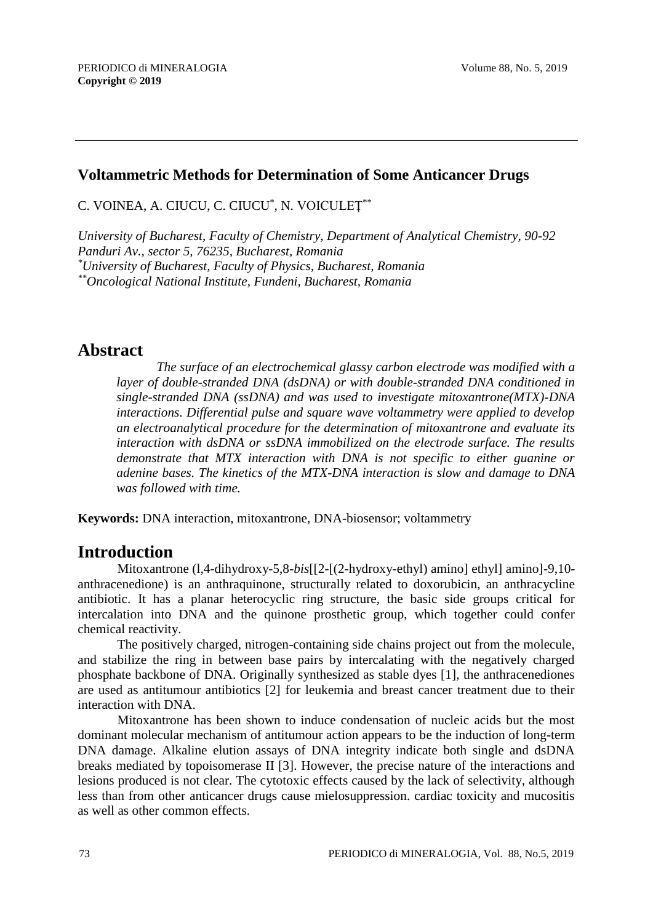### **Voltammetric Methods for Determination of Some Anticancer Drugs**

C. VOINEA, A. CIUCU, C. CIUCU $^*$ , N. VOICULE $\operatorname{\mathrm{T}}^{**}$ 

*University of Bucharest, Faculty of Chemistry, Department of Analytical Chemistry, 90-92 Panduri Av., sector 5, 76235, Bucharest, Romania \*University of Bucharest, Faculty of Physics, Bucharest, Romania \*\*Oncological National Institute, Fundeni, Bucharest, Romania*

# **Abstract**

*The surface of an electrochemical glassy carbon electrode was modified with a layer of double-stranded DNA (dsDNA) or with double-stranded DNA conditioned in single-stranded DNA (ssDNA) and was used to investigate mitoxantrone(MTX)-DNA interactions. Differential pulse and square wave voltammetry were applied to develop an electroanalytical procedure for the determination of mitoxantrone and evaluate its interaction with dsDNA or ssDNA immobilized on the electrode surface. The results demonstrate that MTX interaction with DNA is not specific to either guanine or adenine bases. The kinetics of the MTX-DNA interaction is slow and damage to DNA was followed with time.*

**Keywords:** DNA interaction, mitoxantrone, DNA-biosensor; voltammetry

# **Introduction**

Mitoxantrone (l,4-dihydroxy-5,8-*bis*[[2-[(2-hydroxy-ethyl) amino] ethyl] amino]-9,10 anthracenedione) is an anthraquinone, structurally related to doxorubicin, an anthracycline antibiotic. It has a planar heterocyclic ring structure, the basic side groups critical for intercalation into DNA and the quinone prosthetic group, which together could confer chemical reactivity.

The positively charged, nitrogen-containing side chains project out from the molecule, and stabilize the ring in between base pairs by intercalating with the negatively charged phosphate backbone of DNA. Originally synthesized as stable dyes [1], the anthracenediones are used as antitumour antibiotics [2] for leukemia and breast cancer treatment due to their interaction with DNA.

Mitoxantrone has been shown to induce condensation of nucleic acids but the most dominant molecular mechanism of antitumour action appears to be the induction of long-term DNA damage. Alkaline elution assays of DNA integrity indicate both single and dsDNA breaks mediated by topoisomerase II [3]. However, the precise nature of the interactions and lesions produced is not clear. The cytotoxic effects caused by the lack of selectivity, although less than from other anticancer drugs cause mielosuppression. cardiac toxicity and mucositis as well as other common effects.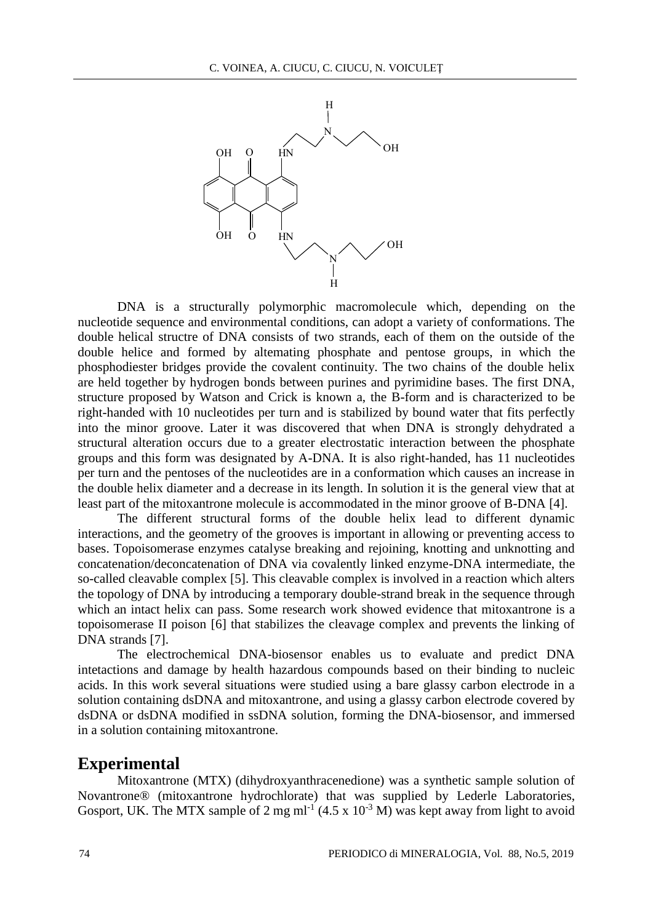

DNA is a structurally polymorphic macromolecule which, depending on the nucleotide sequence and environmental conditions, can adopt a variety of conformations. The double helical structre of DNA consists of two strands, each of them on the outside of the double helice and formed by altemating phosphate and pentose groups, in which the phosphodiester bridges provide the covalent continuity. The two chains of the double helix are held together by hydrogen bonds between purines and pyrimidine bases. The first DNA, structure proposed by Watson and Crick is known a, the B-form and is characterized to be right-handed with 10 nucleotides per turn and is stabilized by bound water that fits perfectly into the minor groove. Later it was discovered that when DNA is strongly dehydrated a structural alteration occurs due to a greater electrostatic interaction between the phosphate groups and this form was designated by A-DNA. It is also right-handed, has 11 nucleotides per turn and the pentoses of the nucleotides are in a conformation which causes an increase in the double helix diameter and a decrease in its length. In solution it is the general view that at least part of the mitoxantrone molecule is accommodated in the minor groove of B-DNA [4].

The different structural forms of the double helix lead to different dynamic interactions, and the geometry of the grooves is important in allowing or preventing access to bases. Topoisomerase enzymes catalyse breaking and rejoining, knotting and unknotting and concatenation/deconcatenation of DNA via covalently linked enzyme-DNA intermediate, the so-called cleavable complex [5]. This cleavable complex is involved in a reaction which alters the topology of DNA by introducing a temporary double-strand break in the sequence through which an intact helix can pass. Some research work showed evidence that mitoxantrone is a topoisomerase II poison [6] that stabilizes the cleavage complex and prevents the linking of DNA strands [7].

The electrochemical DNA-biosensor enables us to evaluate and predict DNA intetactions and damage by health hazardous compounds based on their binding to nucleic acids. In this work several situations were studied using a bare glassy carbon electrode in a solution containing dsDNA and mitoxantrone, and using a glassy carbon electrode covered by dsDNA or dsDNA modified in ssDNA solution, forming the DNA-biosensor, and immersed in a solution containing mitoxantrone.

## **Experimental**

Mitoxantrone (MTX) (dihydroxyanthracenedione) was a synthetic sample solution of Novantrone® (mitoxantrone hydrochlorate) that was supplied by Lederle Laboratories, Gosport, UK. The MTX sample of 2 mg ml<sup>-1</sup> (4.5 x  $10^{-3}$  M) was kept away from light to avoid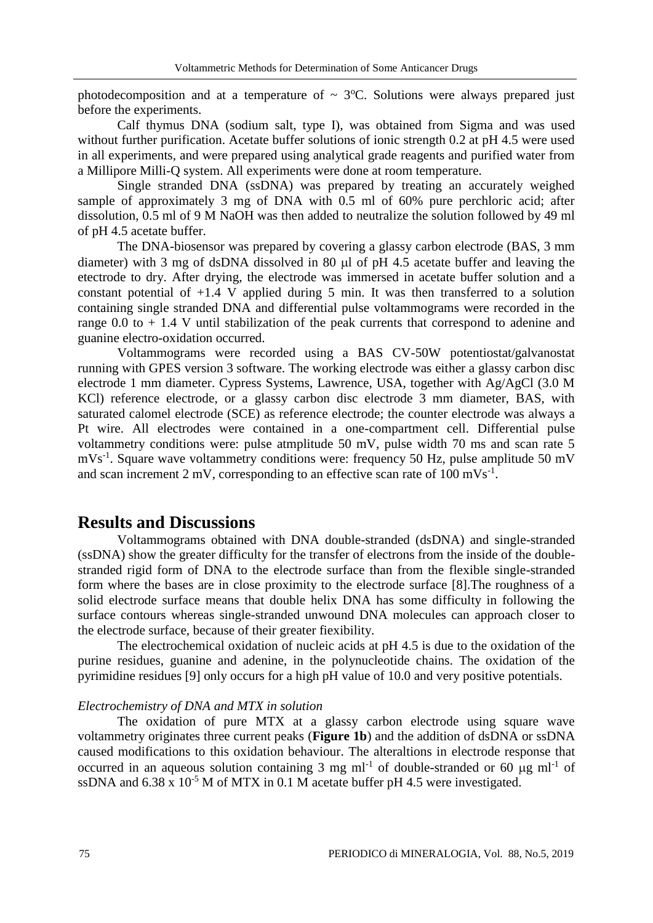photodecomposition and at a temperature of  $\sim$  3°C. Solutions were always prepared just before the experiments.

Calf thymus DNA (sodium salt, type I), was obtained from Sigma and was used without further purification. Acetate buffer solutions of ionic strength 0.2 at pH 4.5 were used in all experiments, and were prepared using analytical grade reagents and purified water from a Millipore Milli-Q system. All experiments were done at room temperature.

Single stranded DNA (ssDNA) was prepared by treating an accurately weighed sample of approximately 3 mg of DNA with 0.5 ml of 60% pure perchloric acid; after dissolution, 0.5 ml of 9 M NaOH was then added to neutralize the solution followed by 49 ml of pH 4.5 acetate buffer.

The DNA-biosensor was prepared by covering a glassy carbon electrode (BAS, 3 mm diameter) with 3 mg of dsDNA dissolved in 80  $\mu$ l of pH 4.5 acetate buffer and leaving the etectrode to dry. After drying, the electrode was immersed in acetate buffer solution and a constant potential of  $+1.4$  V applied during 5 min. It was then transferred to a solution containing single stranded DNA and differential pulse voltammograms were recorded in the range  $0.0$  to  $+1.4$  V until stabilization of the peak currents that correspond to adenine and guanine electro-oxidation occurred.

Voltammograms were recorded using a BAS CV-50W potentiostat/galvanostat running with GPES version 3 software. The working electrode was either a glassy carbon disc electrode 1 mm diameter. Cypress Systems, Lawrence, USA, together with Ag/AgCl (3.0 M KCl) reference electrode, or a glassy carbon disc electrode 3 mm diameter, BAS, with saturated calomel electrode (SCE) as reference electrode; the counter electrode was always a Pt wire. All electrodes were contained in a one-compartment cell. Differential pulse voltammetry conditions were: pulse atmplitude 50 mV, pulse width 70 ms and scan rate 5 mVs<sup>-1</sup>. Square wave voltammetry conditions were: frequency 50 Hz, pulse amplitude 50 mV and scan increment 2 mV, corresponding to an effective scan rate of  $100 \text{ mVs}^{-1}$ .

### **Results and Discussions**

Voltammograms obtained with DNA double-stranded (dsDNA) and single-stranded (ssDNA) show the greater difficulty for the transfer of electrons from the inside of the doublestranded rigid form of DNA to the electrode surface than from the flexible single-stranded form where the bases are in close proximity to the electrode surface [8].The roughness of a solid electrode surface means that double helix DNA has some difficulty in following the surface contours whereas single-stranded unwound DNA molecules can approach closer to the electrode surface, because of their greater fiexibility.

The electrochemical oxidation of nucleic acids at pH 4.5 is due to the oxidation of the purine residues, guanine and adenine, in the polynucleotide chains. The oxidation of the pyrimidine residues [9] only occurs for a high pH value of 10.0 and very positive potentials.

#### *Electrochemistry of DNA and MTX in solution*

The oxidation of pure MTX at a glassy carbon electrode using square wave voltammetry originates three current peaks (**Figure 1b**) and the addition of dsDNA or ssDNA caused modifications to this oxidation behaviour. The alteraltions in electrode response that occurred in an aqueous solution containing 3 mg ml<sup>-1</sup> of double-stranded or 60  $\mu$ g ml<sup>-1</sup> of ssDNA and  $6.38 \times 10^{-5}$  M of MTX in 0.1 M acetate buffer pH 4.5 were investigated.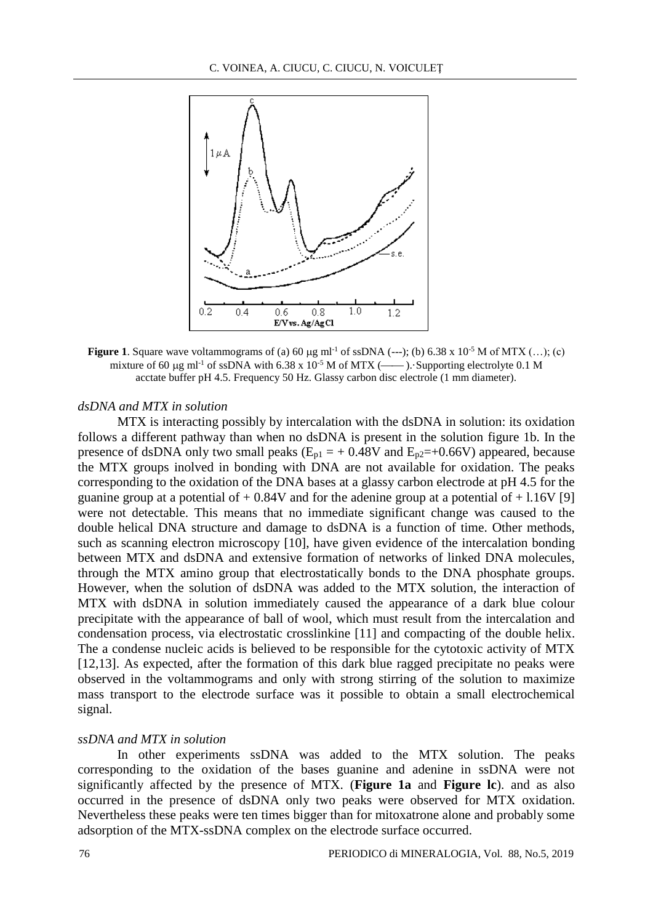

**Figure 1.** Square wave voltammograms of (a) 60  $\mu$ g ml<sup>-1</sup> of ssDNA (---); (b) 6.38 x 10<sup>-5</sup> M of MTX (...); (c) mixture of 60  $\mu$ g ml<sup>-1</sup> of ssDNA with 6.38 x 10<sup>-5</sup> M of MTX (----). Supporting electrolyte 0.1 M acctate buffer pH 4.5. Frequency 50 Hz. Glassy carbon disc electrole (1 mm diameter).

### *dsDNA and MTX in solution*

MTX is interacting possibly by intercalation with the dsDNA in solution: its oxidation follows a different pathway than when no dsDNA is present in the solution figure 1b. In the presence of dsDNA only two small peaks ( $E_{p1} = +0.48V$  and  $E_{p2} = +0.66V$ ) appeared, because the MTX groups inolved in bonding with DNA are not available for oxidation. The peaks corresponding to the oxidation of the DNA bases at a glassy carbon electrode at pH 4.5 for the guanine group at a potential of  $+ 0.84V$  and for the adenine group at a potential of  $+ 1.16V$  [9] were not detectable. This means that no immediate significant change was caused to the double helical DNA structure and damage to dsDNA is a function of time. Other methods, such as scanning electron microscopy [10], have given evidence of the intercalation bonding between MTX and dsDNA and extensive formation of networks of linked DNA molecules, through the MTX amino group that electrostatically bonds to the DNA phosphate groups. However, when the solution of dsDNA was added to the MTX solution, the interaction of MTX with dsDNA in solution immediately caused the appearance of a dark blue colour precipitate with the appearance of ball of wool, which must result from the intercalation and condensation process, via electrostatic crosslinkine [11] and compacting of the double helix. The a condense nucleic acids is believed to be responsible for the cytotoxic activity of MTX [12,13]. As expected, after the formation of this dark blue ragged precipitate no peaks were observed in the voltammograms and only with strong stirring of the solution to maximize mass transport to the electrode surface was it possible to obtain a small electrochemical signal.

### *ssDNA and MTX in solution*

In other experiments ssDNA was added to the MTX solution. The peaks corresponding to the oxidation of the bases guanine and adenine in ssDNA were not significantly affected by the presence of MTX. (**Figure 1a** and **Figure lc**). and as also occurred in the presence of dsDNA only two peaks were observed for MTX oxidation. Nevertheless these peaks were ten times bigger than for mitoxatrone alone and probably some adsorption of the MTX-ssDNA complex on the electrode surface occurred.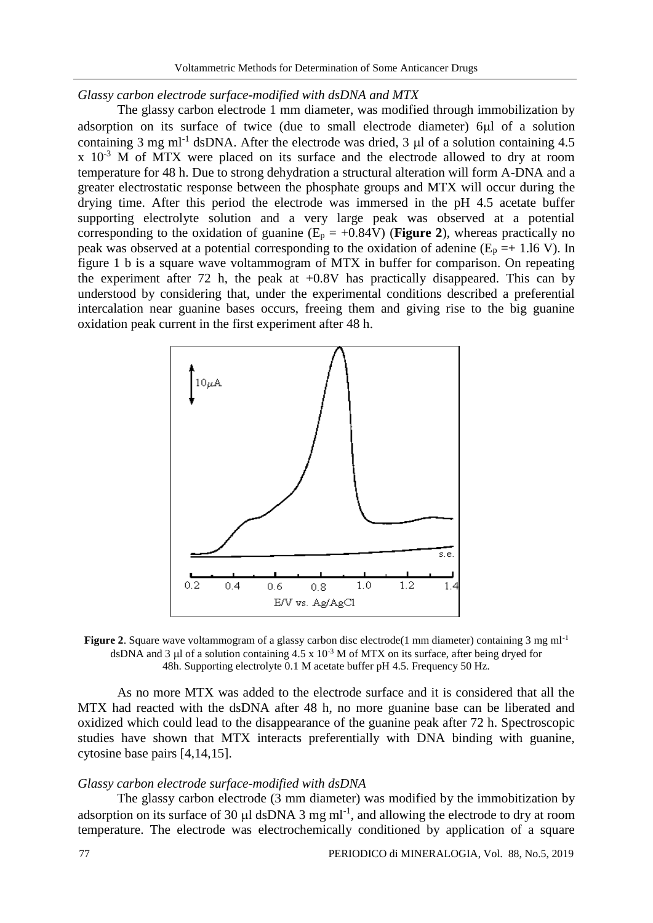### *Glassy carbon electrode surface-modified with dsDNA and MTX*

The glassy carbon electrode 1 mm diameter, was modified through immobilization by adsorption on its surface of twice (due to small electrode diameter) 6µl of a solution containing 3 mg ml<sup>-1</sup> dsDNA. After the electrode was dried, 3  $\mu$ l of a solution containing 4.5  $x \approx 10^{-3}$  M of MTX were placed on its surface and the electrode allowed to dry at room temperature for 48 h. Due to strong dehydration a structural alteration will form A-DNA and a greater electrostatic response between the phosphate groups and MTX will occur during the drying time. After this period the electrode was immersed in the pH 4.5 acetate buffer supporting electrolyte solution and a very large peak was observed at a potential corresponding to the oxidation of guanine  $(E_p = +0.84V)$  (**Figure 2**), whereas practically no peak was observed at a potential corresponding to the oxidation of adenine ( $E_p = +1.16$  V). In figure 1 b is a square wave voltammogram of MTX in buffer for comparison. On repeating the experiment after 72 h, the peak at  $+0.8V$  has practically disappeared. This can by understood by considering that, under the experimental conditions described a preferential intercalation near guanine bases occurs, freeing them and giving rise to the big guanine oxidation peak current in the first experiment after 48 h.



**Figure 2.** Square wave voltammogram of a glassy carbon disc electrode(1 mm diameter) containing 3 mg ml<sup>-1</sup> dsDNA and 3  $\mu$ l of a solution containing 4.5 x 10<sup>-3</sup> M of MTX on its surface, after being dryed for 48h. Supporting electrolyte 0.1 M acetate buffer pH 4.5. Frequency 50 Hz.

As no more MTX was added to the electrode surface and it is considered that all the MTX had reacted with the dsDNA after 48 h, no more guanine base can be liberated and oxidized which could lead to the disappearance of the guanine peak after 72 h. Spectroscopic studies have shown that MTX interacts preferentially with DNA binding with guanine, cytosine base pairs [4,14,15].

#### *Glassy carbon electrode surface-modified with dsDNA*

The glassy carbon electrode (3 mm diameter) was modified by the immobitization by adsorption on its surface of 30  $\mu$ l dsDNA 3 mg ml<sup>-1</sup>, and allowing the electrode to dry at room temperature. The electrode was electrochemically conditioned by application of a square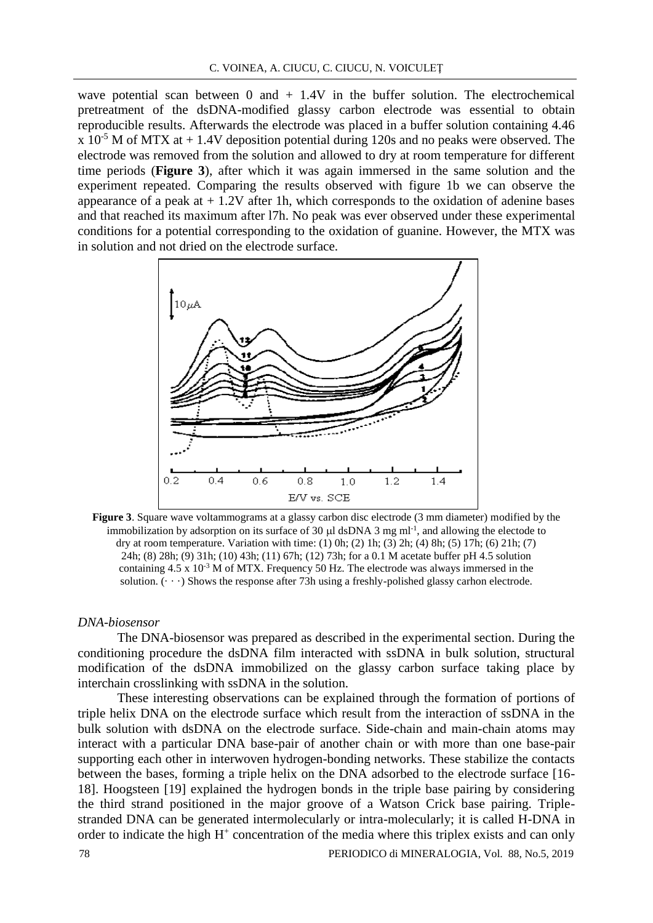wave potential scan between  $0$  and  $+$  1.4V in the buffer solution. The electrochemical pretreatment of the dsDNA-modified glassy carbon electrode was essential to obtain reproducible results. Afterwards the electrode was placed in a buffer solution containing 4.46  $x$  10<sup>-5</sup> M of MTX at  $+$  1.4V deposition potential during 120s and no peaks were observed. The electrode was removed from the solution and allowed to dry at room temperature for different time periods (**Figure 3**), after which it was again immersed in the same solution and the experiment repeated. Comparing the results observed with figure 1b we can observe the appearance of a peak at  $+1.2V$  after 1h, which corresponds to the oxidation of adenine bases and that reached its maximum after l7h. No peak was ever observed under these experimental conditions for a potential corresponding to the oxidation of guanine. However, the MTX was in solution and not dried on the electrode surface.



**Figure 3**. Square wave voltammograms at a glassy carbon disc electrode (3 mm diameter) modified by the immobilization by adsorption on its surface of 30  $\mu$ l dsDNA 3 mg ml<sup>-1</sup>, and allowing the electode to dry at room temperature. Variation with time: (1) 0h; (2) 1h; (3) 2h; (4) 8h; (5) 17h; (6) 21h; (7) 24h; (8) 28h; (9) 31h; (10) 43h; (11) 67h; (12) 73h; for a 0.1 M acetate buffer pH 4.5 solution containing  $4.5 \times 10^{-3}$  M of MTX. Frequency 50 Hz. The electrode was always immersed in the solution.  $(\cdot \cdot \cdot)$  Shows the response after 73h using a freshly-polished glassy carhon electrode.

### *DNA-biosensor*

The DNA-biosensor was prepared as described in the experimental section. During the conditioning procedure the dsDNA film interacted with ssDNA in bulk solution, structural modification of the dsDNA immobilized on the glassy carbon surface taking place by interchain crosslinking with ssDNA in the solution.

These interesting observations can be explained through the formation of portions of triple helix DNA on the electrode surface which result from the interaction of ssDNA in the bulk solution with dsDNA on the electrode surface. Side-chain and main-chain atoms may interact with a particular DNA base-pair of another chain or with more than one base-pair supporting each other in interwoven hydrogen-bonding networks. These stabilize the contacts between the bases, forming a triple helix on the DNA adsorbed to the electrode surface [16- 18]. Hoogsteen [19] explained the hydrogen bonds in the triple base pairing by considering the third strand positioned in the major groove of a Watson Crick base pairing. Triplestranded DNA can be generated intermolecularly or intra-molecularly; it is called H-DNA in order to indicate the high  $H^+$  concentration of the media where this triplex exists and can only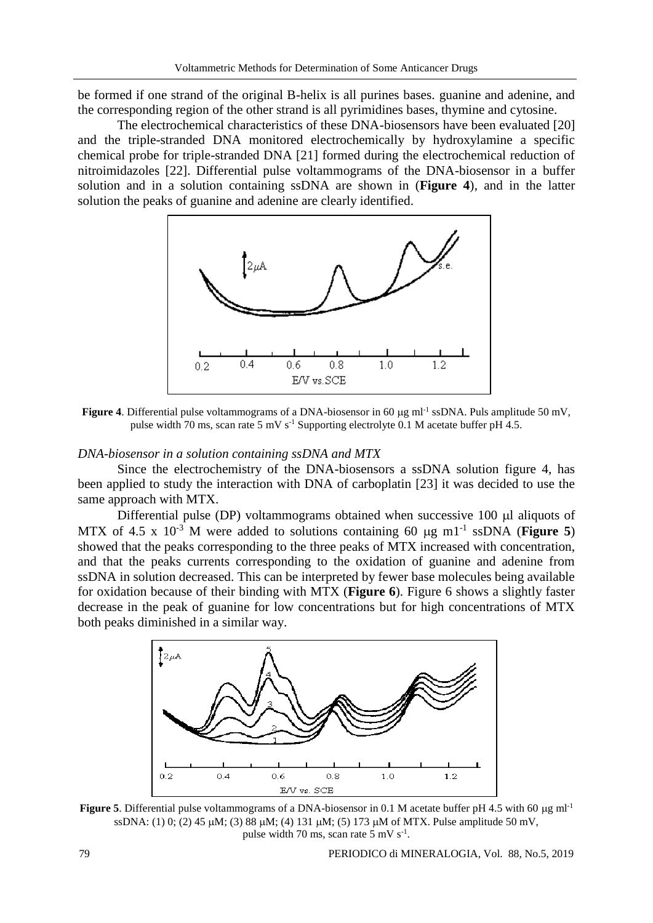be formed if one strand of the original B-helix is all purines bases. guanine and adenine, and the corresponding region of the other strand is all pyrimidines bases, thymine and cytosine.

The electrochemical characteristics of these DNA-biosensors have been evaluated [20] and the triple-stranded DNA monitored electrochemically by hydroxylamine a specific chemical probe for triple-stranded DNA [21] formed during the electrochemical reduction of nitroimidazoles [22]. Differential pulse voltammograms of the DNA-biosensor in a buffer solution and in a solution containing ssDNA are shown in (**Figure 4**), and in the latter solution the peaks of guanine and adenine are clearly identified.



**Figure 4**. Differential pulse voltammograms of a DNA-biosensor in 60 µg ml<sup>-1</sup> ssDNA. Puls amplitude 50 mV, pulse width 70 ms, scan rate 5 mV  $s^{-1}$  Supporting electrolyte 0.1 M acetate buffer pH 4.5.

#### *DNA-biosensor in a solution containing ssDNA and MTX*

Since the electrochemistry of the DNA-biosensors a ssDNA solution figure 4, has been applied to study the interaction with DNA of carboplatin [23] it was decided to use the same approach with MTX.

Differential pulse (DP) voltammograms obtained when successive  $100 \mu l$  aliquots of MTX of 4.5 x  $10^{-3}$  M were added to solutions containing 60  $\mu$ g m1<sup>-1</sup> ssDNA (**Figure 5**) showed that the peaks corresponding to the three peaks of MTX increased with concentration, and that the peaks currents corresponding to the oxidation of guanine and adenine from ssDNA in solution decreased. This can be interpreted by fewer base molecules being available for oxidation because of their binding with MTX (**Figure 6**). Figure 6 shows a slightly faster decrease in the peak of guanine for low concentrations but for high concentrations of MTX both peaks diminished in a similar way.



**Figure 5**. Differential pulse voltammograms of a DNA-biosensor in 0.1 M acetate buffer pH 4.5 with 60  $\mu$ g ml<sup>-1</sup> ssDNA: (1) 0; (2) 45  $\mu$ M; (3) 88  $\mu$ M; (4) 131  $\mu$ M; (5) 173  $\mu$ M of MTX. Pulse amplitude 50 mV, pulse width 70 ms, scan rate 5 mV s<sup>-1</sup>.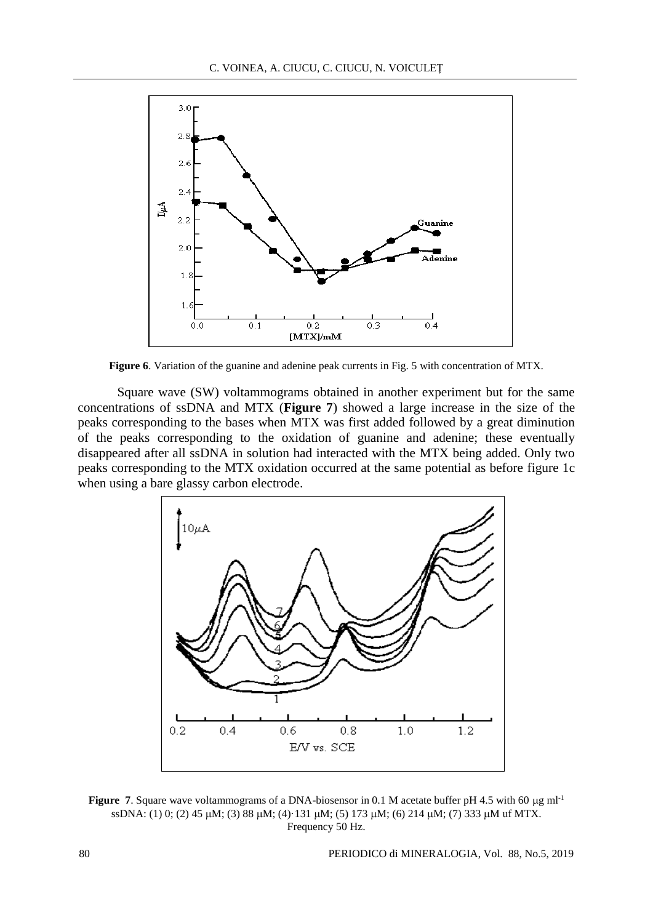

**Figure 6**. Variation of the guanine and adenine peak currents in Fig. 5 with concentration of MTX.

Square wave (SW) voltammograms obtained in another experiment but for the same concentrations of ssDNA and MTX (**Figure 7**) showed a large increase in the size of the peaks corresponding to the bases when MTX was first added followed by a great diminution of the peaks corresponding to the oxidation of guanine and adenine; these eventually disappeared after all ssDNA in solution had interacted with the MTX being added. Only two peaks corresponding to the MTX oxidation occurred at the same potential as before figure 1c when using a bare glassy carbon electrode.



**Figure 7.** Square wave voltammograms of a DNA-biosensor in 0.1 M acetate buffer pH 4.5 with 60  $\mu$ g ml<sup>-1</sup> ssDNA: (1) 0; (2) 45 µM; (3) 88 µM; (4)·131 µM; (5) 173 µM; (6) 214 µM; (7) 333 µM uf MTX. Frequency 50 Hz.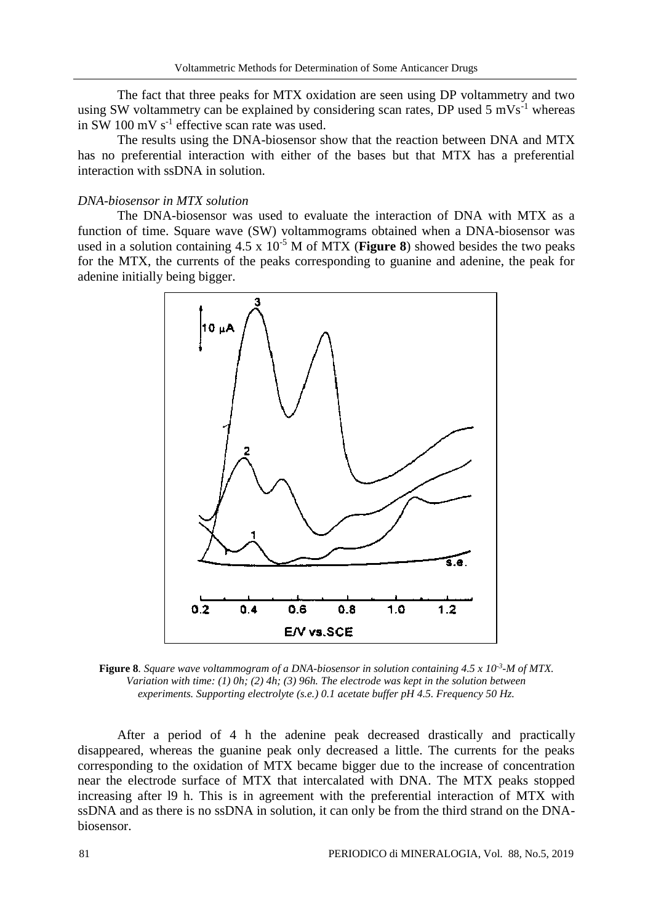The fact that three peaks for MTX oxidation are seen using DP voltammetry and two using SW voltammetry can be explained by considering scan rates, DP used 5 mVs<sup>-1</sup> whereas in SW 100 mV  $s^{-1}$  effective scan rate was used.

The results using the DNA-biosensor show that the reaction between DNA and MTX has no preferential interaction with either of the bases but that MTX has a preferential interaction with ssDNA in solution.

### *DNA-biosensor in MTX solution*

The DNA-biosensor was used to evaluate the interaction of DNA with MTX as a function of time. Square wave (SW) voltammograms obtained when a DNA-biosensor was used in a solution containing  $4.5 \times 10^{-5}$  M of MTX (**Figure 8**) showed besides the two peaks for the MTX, the currents of the peaks corresponding to guanine and adenine, the peak for adenine initially being bigger.



**Figure 8.** Square wave voltammogram of a DNA-biosensor in solution containing 4.5 x 10<sup>-3</sup>-M of MTX. *Variation with time: (1) 0h; (2) 4h; (3) 96h. The electrode was kept in the solution between experiments. Supporting electrolyte (s.e.) 0.1 acetate buffer pH 4.5. Frequency 50 Hz.*

After a period of 4 h the adenine peak decreased drastically and practically disappeared, whereas the guanine peak only decreased a little. The currents for the peaks corresponding to the oxidation of MTX became bigger due to the increase of concentration near the electrode surface of MTX that intercalated with DNA. The MTX peaks stopped increasing after l9 h. This is in agreement with the preferential interaction of MTX with ssDNA and as there is no ssDNA in solution, it can only be from the third strand on the DNAbiosensor.